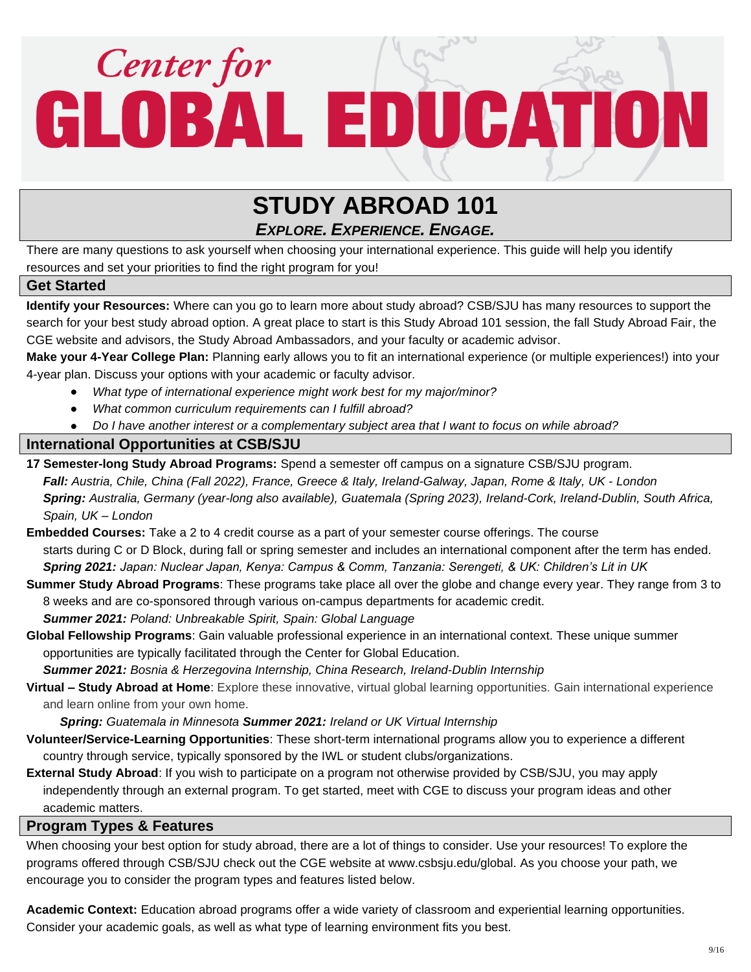# Center for<br>GLOBAL EDUCATION

# **STUDY ABROAD 101** *EXPLORE. EXPERIENCE. ENGAGE.*

There are many questions to ask yourself when choosing your international experience. This guide will help you identify resources and set your priorities to find the right program for you!

### **Get Started**

**Identify your Resources:** Where can you go to learn more about study abroad? CSB/SJU has many resources to support the search for your best study abroad option. A great place to start is this Study Abroad 101 session, the fall Study Abroad Fair, the CGE website and advisors, the Study Abroad Ambassadors, and your faculty or academic advisor.

**Make your 4-Year College Plan:** Planning early allows you to fit an international experience (or multiple experiences!) into your 4-year plan. Discuss your options with your academic or faculty advisor.

- *What type of international experience might work best for my major/minor?*
- *What common curriculum requirements can I fulfill abroad?*
- *Do I have another interest or a complementary subject area that I want to focus on while abroad?*

### **International Opportunities at CSB/SJU**

- **17 Semester-long Study Abroad Programs:** Spend a semester off campus on a signature CSB/SJU program. *Fall: Austria, Chile, China (Fall 2022), France, Greece & Italy, Ireland-Galway, Japan, Rome & Italy, UK - London Spring: Australia, Germany (year-long also available), Guatemala (Spring 2023), Ireland-Cork, Ireland-Dublin, South Africa, Spain, UK – London*
- **Embedded Courses:** Take a 2 to 4 credit course as a part of your semester course offerings. The course starts during C or D Block, during fall or spring semester and includes an international component after the term has ended. *Spring 2021: Japan: Nuclear Japan, Kenya: Campus & Comm, Tanzania: Serengeti, & UK: Children's Lit in UK*
- **Summer Study Abroad Programs**: These programs take place all over the globe and change every year. They range from 3 to 8 weeks and are co-sponsored through various on-campus departments for academic credit.

*Summer 2021: Poland: Unbreakable Spirit, Spain: Global Language*

**Global Fellowship Programs**: Gain valuable professional experience in an international context. These unique summer opportunities are typically facilitated through the Center for Global Education.

*Summer 2021: Bosnia & Herzegovina Internship, China Research, Ireland-Dublin Internship*

**Virtual – Study Abroad at Home**: Explore these innovative, virtual global learning opportunities. Gain international experience and learn online from your own home.

 *Spring: Guatemala in Minnesota Summer 2021: Ireland or UK Virtual Internship*

- **Volunteer/Service-Learning Opportunities**: These short-term international programs allow you to experience a different country through service, typically sponsored by the IWL or student clubs/organizations.
- **External Study Abroad**: If you wish to participate on a program not otherwise provided by CSB/SJU, you may apply independently through an external program. To get started, meet with CGE to discuss your program ideas and other academic matters.

### **Program Types & Features**

When choosing your best option for study abroad, there are a lot of things to consider. Use your resources! To explore the programs offered through CSB/SJU check out the CGE website at www.csbsju.edu/global. As you choose your path, we encourage you to consider the program types and features listed below.

**Academic Context:** Education abroad programs offer a wide variety of classroom and experiential learning opportunities. Consider your academic goals, as well as what type of learning environment fits you best.